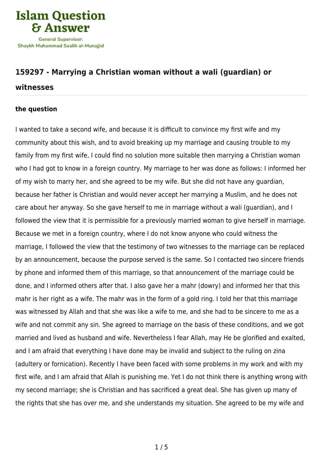

# **[159297 - Marrying a Christian woman without a wali \(guardian\) or](https://islamqa.com/en/answers/159297/marrying-a-christian-woman-without-a-wali-guardian-or-witnesses)**

#### **[witnesses](https://islamqa.com/en/answers/159297/marrying-a-christian-woman-without-a-wali-guardian-or-witnesses)**

### **the question**

I wanted to take a second wife, and because it is difficult to convince my first wife and my community about this wish, and to avoid breaking up my marriage and causing trouble to my family from my first wife, I could find no solution more suitable then marrying a Christian woman who I had got to know in a foreign country. My marriage to her was done as follows: I informed her of my wish to marry her, and she agreed to be my wife. But she did not have any guardian, because her father is Christian and would never accept her marrying a Muslim, and he does not care about her anyway. So she gave herself to me in marriage without a wali (guardian), and I followed the view that it is permissible for a previously married woman to give herself in marriage. Because we met in a foreign country, where I do not know anyone who could witness the marriage, I followed the view that the testimony of two witnesses to the marriage can be replaced by an announcement, because the purpose served is the same. So I contacted two sincere friends by phone and informed them of this marriage, so that announcement of the marriage could be done, and I informed others after that. I also gave her a mahr (dowry) and informed her that this mahr is her right as a wife. The mahr was in the form of a gold ring. I told her that this marriage was witnessed by Allah and that she was like a wife to me, and she had to be sincere to me as a wife and not commit any sin. She agreed to marriage on the basis of these conditions, and we got married and lived as husband and wife. Nevertheless I fear Allah, may He be glorified and exalted, and I am afraid that everything I have done may be invalid and subject to the ruling on zina (adultery or fornication). Recently I have been faced with some problems in my work and with my first wife, and I am afraid that Allah is punishing me. Yet I do not think there is anything wrong with my second marriage; she is Christian and has sacrificed a great deal. She has given up many of the rights that she has over me, and she understands my situation. She agreed to be my wife and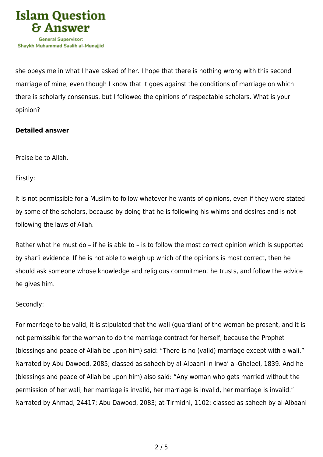

she obeys me in what I have asked of her. I hope that there is nothing wrong with this second marriage of mine, even though I know that it goes against the conditions of marriage on which there is scholarly consensus, but I followed the opinions of respectable scholars. What is your opinion?

## **Detailed answer**

Praise be to Allah.

Firstly:

It is not permissible for a Muslim to follow whatever he wants of opinions, even if they were stated by some of the scholars, because by doing that he is following his whims and desires and is not following the laws of Allah.

Rather what he must do – if he is able to – is to follow the most correct opinion which is supported by shar'i evidence. If he is not able to weigh up which of the opinions is most correct, then he should ask someone whose knowledge and religious commitment he trusts, and follow the advice he gives him.

## Secondly:

For marriage to be valid, it is stipulated that the wali (guardian) of the woman be present, and it is not permissible for the woman to do the marriage contract for herself, because the Prophet (blessings and peace of Allah be upon him) said: "There is no (valid) marriage except with a wali." Narrated by Abu Dawood, 2085; classed as saheeh by al-Albaani in Irwa' al-Ghaleel, 1839. And he (blessings and peace of Allah be upon him) also said: "Any woman who gets married without the permission of her wali, her marriage is invalid, her marriage is invalid, her marriage is invalid." Narrated by Ahmad, 24417; Abu Dawood, 2083; at-Tirmidhi, 1102; classed as saheeh by al-Albaani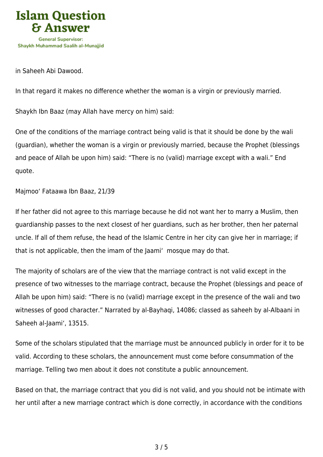

in Saheeh Abi Dawood.

In that regard it makes no difference whether the woman is a virgin or previously married.

Shaykh Ibn Baaz (may Allah have mercy on him) said:

One of the conditions of the marriage contract being valid is that it should be done by the wali (guardian), whether the woman is a virgin or previously married, because the Prophet (blessings and peace of Allah be upon him) said: "There is no (valid) marriage except with a wali." End quote.

Majmoo' Fataawa Ibn Baaz, 21/39

If her father did not agree to this marriage because he did not want her to marry a Muslim, then guardianship passes to the next closest of her guardians, such as her brother, then her paternal uncle. If all of them refuse, the head of the Islamic Centre in her city can give her in marriage; if that is not applicable, then the imam of the Jaami' mosque may do that.

The majority of scholars are of the view that the marriage contract is not valid except in the presence of two witnesses to the marriage contract, because the Prophet (blessings and peace of Allah be upon him) said: "There is no (valid) marriage except in the presence of the wali and two witnesses of good character." Narrated by al-Bayhaqi, 14086; classed as saheeh by al-Albaani in Saheeh al-Jaami', 13515.

Some of the scholars stipulated that the marriage must be announced publicly in order for it to be valid. According to these scholars, the announcement must come before consummation of the marriage. Telling two men about it does not constitute a public announcement.

Based on that, the marriage contract that you did is not valid, and you should not be intimate with her until after a new marriage contract which is done correctly, in accordance with the conditions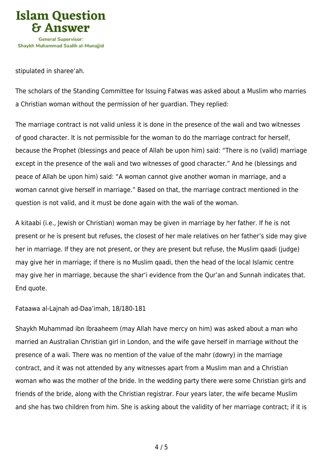

stipulated in sharee'ah.

The scholars of the Standing Committee for Issuing Fatwas was asked about a Muslim who marries a Christian woman without the permission of her guardian. They replied:

The marriage contract is not valid unless it is done in the presence of the wali and two witnesses of good character. It is not permissible for the woman to do the marriage contract for herself, because the Prophet (blessings and peace of Allah be upon him) said: "There is no (valid) marriage except in the presence of the wali and two witnesses of good character." And he (blessings and peace of Allah be upon him) said: "A woman cannot give another woman in marriage, and a woman cannot give herself in marriage." Based on that, the marriage contract mentioned in the question is not valid, and it must be done again with the wali of the woman.

A kitaabi (i.e., Jewish or Christian) woman may be given in marriage by her father. If he is not present or he is present but refuses, the closest of her male relatives on her father's side may give her in marriage. If they are not present, or they are present but refuse, the Muslim qaadi (judge) may give her in marriage; if there is no Muslim qaadi, then the head of the local Islamic centre may give her in marriage, because the shar'i evidence from the Qur'an and Sunnah indicates that. End quote.

Fataawa al-Lajnah ad-Daa'imah, 18/180-181

Shaykh Muhammad ibn Ibraaheem (may Allah have mercy on him) was asked about a man who married an Australian Christian girl in London, and the wife gave herself in marriage without the presence of a wali. There was no mention of the value of the mahr (dowry) in the marriage contract, and it was not attended by any witnesses apart from a Muslim man and a Christian woman who was the mother of the bride. In the wedding party there were some Christian girls and friends of the bride, along with the Christian registrar. Four years later, the wife became Muslim and she has two children from him. She is asking about the validity of her marriage contract; if it is